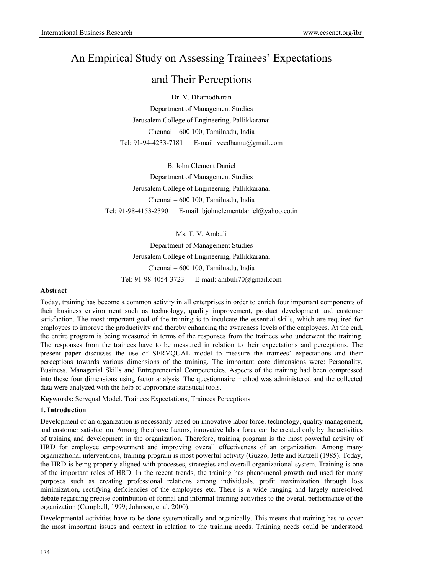# An Empirical Study on Assessing Trainees' Expectations

# and Their Perceptions

Dr. V. Dhamodharan Department of Management Studies Jerusalem College of Engineering, Pallikkaranai Chennai – 600 100, Tamilnadu, India Tel: 91-94-4233-7181 E-mail: veedhamu@gmail.com

B. John Clement Daniel Department of Management Studies Jerusalem College of Engineering, Pallikkaranai Chennai – 600 100, Tamilnadu, India Tel: 91-98-4153-2390 E-mail: bjohnclementdaniel@yahoo.co.in

Ms. T. V. Ambuli Department of Management Studies Jerusalem College of Engineering, Pallikkaranai Chennai – 600 100, Tamilnadu, India Tel: 91-98-4054-3723 E-mail: ambuli70@gmail.com

#### **Abstract**

Today, training has become a common activity in all enterprises in order to enrich four important components of their business environment such as technology, quality improvement, product development and customer satisfaction. The most important goal of the training is to inculcate the essential skills, which are required for employees to improve the productivity and thereby enhancing the awareness levels of the employees. At the end, the entire program is being measured in terms of the responses from the trainees who underwent the training. The responses from the trainees have to be measured in relation to their expectations and perceptions. The present paper discusses the use of SERVQUAL model to measure the trainees' expectations and their perceptions towards various dimensions of the training. The important core dimensions were: Personality, Business, Managerial Skills and Entrepreneurial Competencies. Aspects of the training had been compressed into these four dimensions using factor analysis. The questionnaire method was administered and the collected data were analyzed with the help of appropriate statistical tools.

**Keywords:** Servqual Model, Trainees Expectations, Trainees Perceptions

#### **1. Introduction**

Development of an organization is necessarily based on innovative labor force, technology, quality management, and customer satisfaction. Among the above factors, innovative labor force can be created only by the activities of training and development in the organization. Therefore, training program is the most powerful activity of HRD for employee empowerment and improving overall effectiveness of an organization. Among many organizational interventions, training program is most powerful activity (Guzzo, Jette and Katzell (1985). Today, the HRD is being properly aligned with processes, strategies and overall organizational system. Training is one of the important roles of HRD. In the recent trends, the training has phenomenal growth and used for many purposes such as creating professional relations among individuals, profit maximization through loss minimization, rectifying deficiencies of the employees etc. There is a wide ranging and largely unresolved debate regarding precise contribution of formal and informal training activities to the overall performance of the organization (Campbell, 1999; Johnson, et al, 2000).

Developmental activities have to be done systematically and organically. This means that training has to cover the most important issues and context in relation to the training needs. Training needs could be understood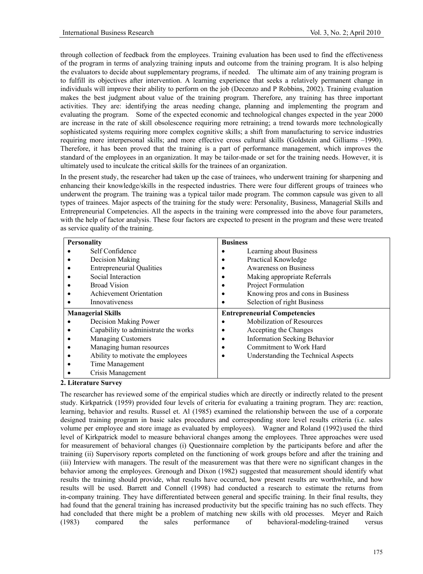through collection of feedback from the employees. Training evaluation has been used to find the effectiveness of the program in terms of analyzing training inputs and outcome from the training program. It is also helping the evaluators to decide about supplementary programs, if needed. The ultimate aim of any training program is to fulfill its objectives after intervention. A learning experience that seeks a relatively permanent change in individuals will improve their ability to perform on the job (Decenzo and P Robbins, 2002). Training evaluation makes the best judgment about value of the training program. Therefore, any training has three important activities. They are: identifying the areas needing change, planning and implementing the program and evaluating the program. Some of the expected economic and technological changes expected in the year 2000 are increase in the rate of skill obsolescence requiring more retraining; a trend towards more technologically sophisticated systems requiring more complex cognitive skills; a shift from manufacturing to service industries requiring more interpersonal skills; and more effective cross cultural skills (Goldstein and Gilliams –1990). Therefore, it has been proved that the training is a part of performance management, which improves the standard of the employees in an organization. It may be tailor-made or set for the training needs. However, it is ultimately used to inculcate the critical skills for the trainees of an organization.

In the present study, the researcher had taken up the case of trainees, who underwent training for sharpening and enhancing their knowledge/skills in the respected industries. There were four different groups of trainees who underwent the program. The training was a typical tailor made program. The common capsule was given to all types of trainees. Major aspects of the training for the study were: Personality, Business, Managerial Skills and Entrepreneurial Competencies. All the aspects in the training were compressed into the above four parameters, with the help of factor analysis. These four factors are expected to present in the program and these were treated as service quality of the training.

| Personality                          | <b>Business</b>                     |  |  |
|--------------------------------------|-------------------------------------|--|--|
| Self Confidence                      | Learning about Business             |  |  |
| Decision Making                      | Practical Knowledge                 |  |  |
| <b>Entrepreneurial Qualities</b>     | Awareness on Business               |  |  |
| Social Interaction                   | Making appropriate Referrals        |  |  |
| <b>Broad Vision</b>                  | Project Formulation                 |  |  |
| Achievement Orientation              | Knowing pros and cons in Business   |  |  |
| Innovativeness                       | Selection of right Business         |  |  |
| <b>Managerial Skills</b>             | <b>Entrepreneurial Competencies</b> |  |  |
| Decision Making Power                | <b>Mobilization of Resources</b>    |  |  |
| Capability to administrate the works | Accepting the Changes<br>٠          |  |  |
| <b>Managing Customers</b>            | <b>Information Seeking Behavior</b> |  |  |
| Managing human resources             | Commitment to Work Hard             |  |  |
| Ability to motivate the employees    | Understanding the Technical Aspects |  |  |
| Time Management                      |                                     |  |  |
| Crisis Management                    |                                     |  |  |

#### **2. Literature Survey**

The researcher has reviewed some of the empirical studies which are directly or indirectly related to the present study. Kirkpatrick (1959) provided four levels of criteria for evaluating a training program. They are: reaction, learning, behavior and results. Russel et. Al (1985) examined the relationship between the use of a corporate designed training program in basic sales procedures and corresponding store level results criteria (i.e. sales volume per employee and store image as evaluated by employees). Wagner and Roland (1992) used the third level of Kirkpatrick model to measure behavioral changes among the employees. Three approaches were used for measurement of behavioral changes (i) Questionnaire completion by the participants before and after the training (ii) Supervisory reports completed on the functioning of work groups before and after the training and (iii) Interview with managers. The result of the measurement was that there were no significant changes in the behavior among the employees. Grenough and Dixon (1982) suggested that measurement should identify what results the training should provide, what results have occurred, how present results are worthwhile, and how results will be used. Barrett and Connell (1998) had conducted a research to estimate the returns from in-company training. They have differentiated between general and specific training. In their final results, they had found that the general training has increased productivity but the specific training has no such effects. They had concluded that there might be a problem of matching new skills with old processes. Meyer and Raich (1983) compared the sales performance of behavioral-modeling-trained versus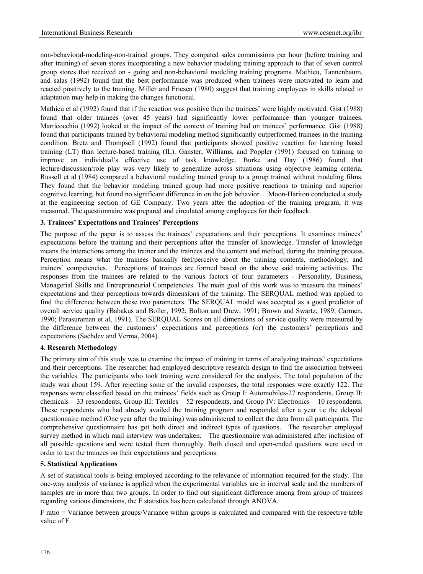non-behavioral-modeling-non-trained groups. They compated sales commissions per hour (before training and after training) of seven stores incorporating a new behavior modeling training approach to that of seven control group stores that received on - going and non-behavioral modeling training programs. Mathieu, Tannenbaum, and salas (1992) found that the best performance was produced when trainees were motivated to learn and reacted positively to the training. Miller and Friesen (1980) suggest that training employees in skills related to adaptation may help in making the changes functional.

Mathieu et al (1992) found that if the reaction was positive then the trainees' were highly motivated. Gist (1988) found that older trainees (over 45 years) had significantly lower performance than younger trainees. Marticocchio (1992) looked at the impact of the context of training had on trainees' performance. Gist (1988) found that participants trained by behavioral modeling method significantly outperformed trainees in the training condition. Bretz and Thompsell (1992) found that participants showed positive reaction for learning based training (LT) than lecture-based training (IL). Ganster, Williams, and Poppler (1991) focused on training to improve an individual's effective use of task knowledge. Burke and Day (1986) found that lecture/discussion/role play was very likely to generalize across situations using objective learning criteria. Russell et al (1984) compared a behavioral modeling trained group to a group trained without modeling films. They found that the behavior modeling trained group had more positive reactions to training and superior cognitive learning, but found no significant difference in on the job behavior. Moon-Hariton conducted a study at the engineering section of GE Company. Two years after the adoption of the training program, it was measured. The questionnaire was prepared and circulated among employees for their feedback.

## **3. Trainees' Expectations and Trainees' Perceptions**

The purpose of the paper is to assess the trainees' expectations and their perceptions. It examines trainees' expectations before the training and their perceptions after the transfer of knowledge. Transfer of knowledge means the interactions among the trainer and the trainees and the content and method, during the training process. Perception means what the trainees basically feel/perceive about the training contents, methodology, and trainers' competencies. Perceptions of trainees are formed based on the above said training activities. The responses from the trainees are related to the various factors of four parameters - Personality, Business, Managerial Skills and Entrepreneurial Competencies. The main goal of this work was to measure the trainees' expectations and their perceptions towards dimensions of the training. The SERQUAL method was applied to find the difference between these two parameters. The SERQUAL model was accepted as a good predictor of overall service quality (Babakus and Boller, 1992; Bolton and Drew, 1991; Brown and Swartz, 1989; Carmen, 1990; Parasuraman et al, 1991). The SERQUAL Scores on all dimensions of service quality were measured by the difference between the customers' expectations and perceptions (or) the customers' perceptions and expectations (Sachdev and Verma, 2004).

#### **4. Research Methodology**

The primary aim of this study was to examine the impact of training in terms of analyzing trainees' expectations and their perceptions. The researcher had employed descriptive research design to find the association between the variables. The participants who took training were considered for the analysis. The total population of the study was about 159. After rejecting some of the invalid responses, the total responses were exactly 122. The responses were classified based on the trainees' fields such as Group I: Automobiles-27 respondents, Group II: chemicals – 33 respondents, Group III: Textiles – 52 respondents, and Group IV: Electronics – 10 respondents. These respondents who had already availed the training program and responded after a year i.e the delayed questionnaire method (One year after the training) was administered to collect the data from all participants. The comprehensive questionnaire has got both direct and indirect types of questions. The researcher employed survey method in which mail interview was undertaken. The questionnaire was administered after inclusion of all possible questions and were tested them thoroughly. Both closed and open-ended questions were used in order to test the trainees on their expectations and perceptions.

#### **5. Statistical Applications**

A set of statistical tools is being employed according to the relevance of information required for the study. The one-way analysis of variance is applied when the experimental variables are in interval scale and the numbers of samples are in more than two groups. In order to find out significant difference among from group of trainees regarding various dimensions, the F statistics has been calculated through ANOVA.

F ratio = Variance between groups/Variance within groups is calculated and compared with the respective table value of F.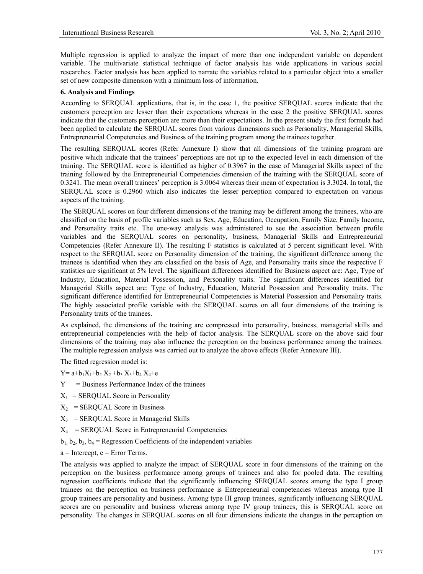Multiple regression is applied to analyze the impact of more than one independent variable on dependent variable. The multivariate statistical technique of factor analysis has wide applications in various social researches. Factor analysis has been applied to narrate the variables related to a particular object into a smaller set of new composite dimension with a minimum loss of information.

#### **6. Analysis and Findings**

According to SERQUAL applications, that is, in the case 1, the positive SERQUAL scores indicate that the customers perception are lesser than their expectations whereas in the case 2 the positive SERQUAL scores indicate that the customers perception are more than their expectations. In the present study the first formula had been applied to calculate the SERQUAL scores from various dimensions such as Personality, Managerial Skills, Entrepreneurial Competencies and Business of the training program among the trainees together.

The resulting SERQUAL scores (Refer Annexure I) show that all dimensions of the training program are positive which indicate that the trainees' perceptions are not up to the expected level in each dimension of the training. The SERQUAL score is identified as higher of 0.3967 in the case of Managerial Skills aspect of the training followed by the Entrepreneurial Competencies dimension of the training with the SERQUAL score of 0.3241. The mean overall trainees' perception is 3.0064 whereas their mean of expectation is 3.3024. In total, the SERQUAL score is 0.2960 which also indicates the lesser perception compared to expectation on various aspects of the training.

The SERQUAL scores on four different dimensions of the training may be different among the trainees, who are classified on the basis of profile variables such as Sex, Age, Education, Occupation, Family Size, Family Income, and Personality traits etc. The one-way analysis was administered to see the association between profile variables and the SERQUAL scores on personality, business, Managerial Skills and Entrepreneurial Competencies (Refer Annexure II). The resulting F statistics is calculated at 5 percent significant level. With respect to the SERQUAL score on Personality dimension of the training, the significant difference among the trainees is identified when they are classified on the basis of Age, and Personality traits since the respective F statistics are significant at 5% level. The significant differences identified for Business aspect are: Age, Type of Industry, Education, Material Possession, and Personality traits. The significant differences identified for Managerial Skills aspect are: Type of Industry, Education, Material Possession and Personality traits. The significant difference identified for Entrepreneurial Competencies is Material Possession and Personality traits. The highly associated profile variable with the SERQUAL scores on all four dimensions of the training is Personality traits of the trainees.

As explained, the dimensions of the training are compressed into personality, business, managerial skills and entrepreneurial competencies with the help of factor analysis. The SERQUAL score on the above said four dimensions of the training may also influence the perception on the business performance among the trainees. The multiple regression analysis was carried out to analyze the above effects (Refer Annexure III).

The fitted regression model is:

 $Y=a+b_1X_1+b_2X_2+b_3X_3+b_4X_4+e$ 

- $Y =$  Business Performance Index of the trainees
- $X_1$  = SERQUAL Score in Personality
- $X_2$  = SEROUAL Score in Business
- $X_3$  = SERQUAL Score in Managerial Skills
- $X_4$  = SERQUAL Score in Entrepreneurial Competencies

 $b_1$ ,  $b_2$ ,  $b_3$ ,  $b_4$  = Regression Coefficients of the independent variables

 $a =$  Intercept,  $e =$  Error Terms.

The analysis was applied to analyze the impact of SERQUAL score in four dimensions of the training on the perception on the business performance among groups of trainees and also for pooled data. The resulting regression coefficients indicate that the significantly influencing SERQUAL scores among the type I group trainees on the perception on business performance is Entrepreneurial competencies whereas among type II group trainees are personality and business. Among type III group trainees, significantly influencing SERQUAL scores are on personality and business whereas among type IV group trainees, this is SERQUAL score on personality. The changes in SERQUAL scores on all four dimensions indicate the changes in the perception on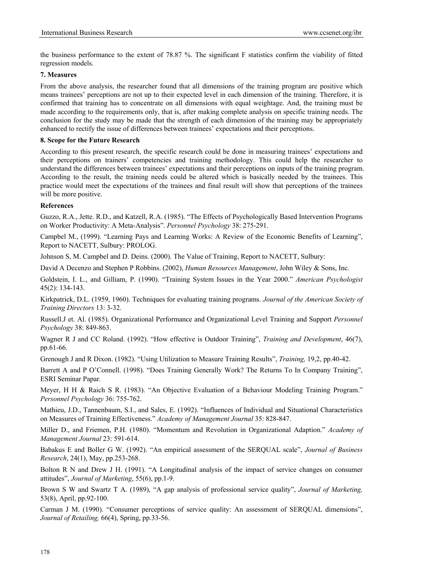the business performance to the extent of 78.87 %. The significant F statistics confirm the viability of fitted regression models.

## **7. Measures**

From the above analysis, the researcher found that all dimensions of the training program are positive which means trainees' perceptions are not up to their expected level in each dimension of the training. Therefore, it is confirmed that training has to concentrate on all dimensions with equal weightage. And, the training must be made according to the requirements only, that is, after making complete analysis on specific training needs. The conclusion for the study may be made that the strength of each dimension of the training may be appropriately enhanced to rectify the issue of differences between trainees' expectations and their perceptions.

## **8. Scope for the Future Research**

According to this present research, the specific research could be done in measuring trainees' expectations and their perceptions on trainers' competencies and training methodology. This could help the researcher to understand the differences between trainees' expectations and their perceptions on inputs of the training program. According to the result, the training needs could be altered which is basically needed by the trainees. This practice would meet the expectations of the trainees and final result will show that perceptions of the trainees will be more positive.

## **References**

Guzzo, R.A., Jette. R.D., and Katzell, R.A. (1985). "The Effects of Psychologically Based Intervention Programs on Worker Productivity: A Meta-Analysis". *Personnel Psychology* 38: 275-291.

Campbel M., (1999). "Learning Pays and Learning Works: A Review of the Economic Benefits of Learning", Report to NACETT, Sulbury: PROLOG.

Johnson S, M. Campbel and D. Deins. (2000). The Value of Training, Report to NACETT, Sulbury:

David A Decenzo and Stephen P Robbins. (2002), *Human Resources Management*, John Wiley & Sons, Inc.

Goldstein, I. L., and Gilliam, P. (1990). "Training System Issues in the Year 2000." *American Psychologist* 45(2): 134-143.

Kirkpatrick, D.L. (1959, 1960). Techniques for evaluating training programs. *Journal of the American Society of Training Directors* 13: 3-32.

Russell.J et. Al. (1985). Organizational Performance and Organizational Level Training and Support *Personnel Psychology* 38: 849-863.

Wagner R J and CC Roland. (1992). "How effective is Outdoor Training", *Training and Development*, 46(7), pp.61-66.

Grenough J and R Dixon. (1982). "Using Utilization to Measure Training Results", *Training,* 19,2, pp.40-42.

Barrett A and P O'Connell. (1998). "Does Training Generally Work? The Returns To In Company Training", ESRI Seminar Papar*.*

Meyer, H H & Raich S R. (1983). "An Objective Evaluation of a Behaviour Modeling Training Program." *Personnel Psychology* 36: 755-762.

Mathieu, J.D., Tannenbaum, S.I., and Sales, E. (1992). "Influences of Individual and Situational Characteristics on Measures of Training Effectiveness." *Academy of Management Journal* 35: 828-847.

Miller D., and Friemen, P.H. (1980). "Momentum and Revolution in Organizational Adaption." *Academy of Management Journal* 23: 591-614.

Babakus E and Boller G W. (1992). "An empirical assessment of the SERQUAL scale", *Journal of Business Research*, 24(1), May, pp.253-268.

Bolton R N and Drew J H. (1991). "A Longitudinal analysis of the impact of service changes on consumer attitudes", *Journal of Marketing*, 55(6), pp.1-9.

Brown S W and Swartz T A. (1989), "A gap analysis of professional service quality", *Journal of Marketing,* 53(8), April, pp.92-100.

Carman J M. (1990). "Consumer perceptions of service quality: An assessment of SERQUAL dimensions", *Journal of Retailing,* 66(4), Spring, pp.33-56.